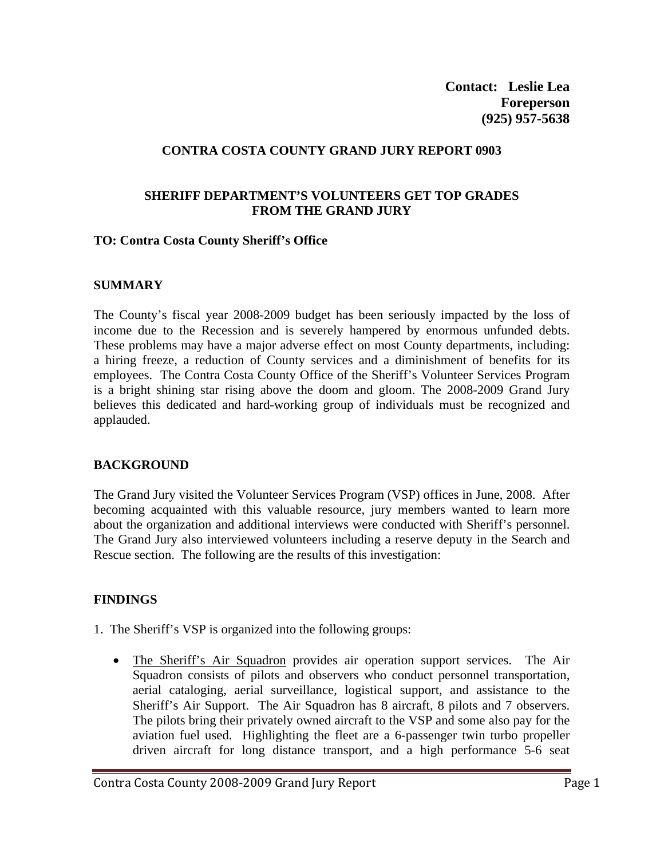**Contact: Leslie Lea Foreperson (925) 957-5638** 

# **CONTRA COSTA COUNTY GRAND JURY REPORT 0903**

### **SHERIFF DEPARTMENT'S VOLUNTEERS GET TOP GRADES FROM THE GRAND JURY**

### **TO: Contra Costa County Sheriff's Office**

### **SUMMARY**

The County's fiscal year 2008-2009 budget has been seriously impacted by the loss of income due to the Recession and is severely hampered by enormous unfunded debts. These problems may have a major adverse effect on most County departments, including: a hiring freeze, a reduction of County services and a diminishment of benefits for its employees. The Contra Costa County Office of the Sheriff's Volunteer Services Program is a bright shining star rising above the doom and gloom. The 2008-2009 Grand Jury believes this dedicated and hard-working group of individuals must be recognized and applauded.

# **BACKGROUND**

The Grand Jury visited the Volunteer Services Program (VSP) offices in June, 2008. After becoming acquainted with this valuable resource, jury members wanted to learn more about the organization and additional interviews were conducted with Sheriff's personnel. The Grand Jury also interviewed volunteers including a reserve deputy in the Search and Rescue section. The following are the results of this investigation:

# **FINDINGS**

- 1. The Sheriff's VSP is organized into the following groups:
	- The Sheriff's Air Squadron provides air operation support services. The Air Squadron consists of pilots and observers who conduct personnel transportation, aerial cataloging, aerial surveillance, logistical support, and assistance to the Sheriff's Air Support. The Air Squadron has 8 aircraft, 8 pilots and 7 observers. The pilots bring their privately owned aircraft to the VSP and some also pay for the aviation fuel used. Highlighting the fleet are a 6-passenger twin turbo propeller driven aircraft for long distance transport, and a high performance 5-6 seat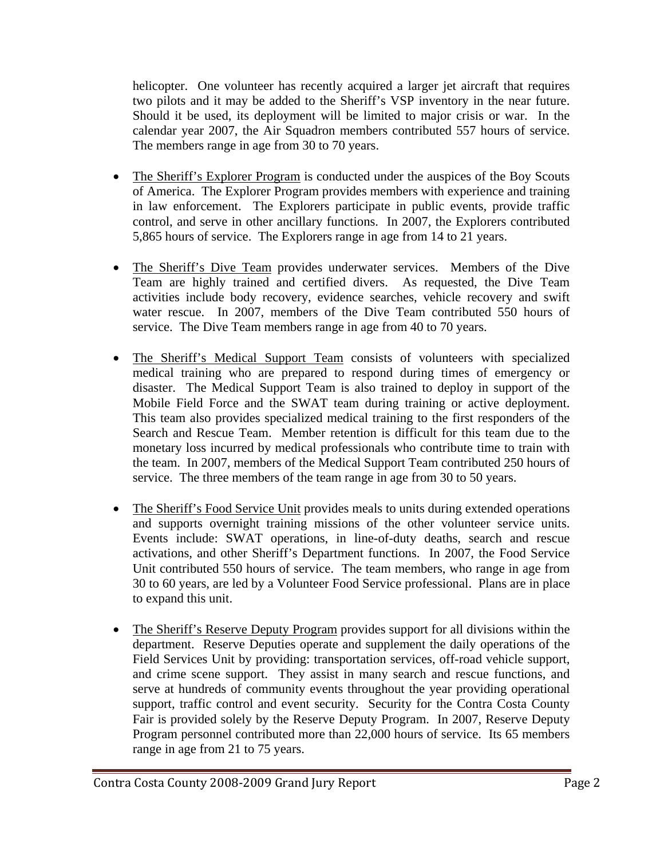helicopter. One volunteer has recently acquired a larger jet aircraft that requires two pilots and it may be added to the Sheriff's VSP inventory in the near future. Should it be used, its deployment will be limited to major crisis or war. In the calendar year 2007, the Air Squadron members contributed 557 hours of service. The members range in age from 30 to 70 years.

- The Sheriff's Explorer Program is conducted under the auspices of the Boy Scouts of America. The Explorer Program provides members with experience and training in law enforcement. The Explorers participate in public events, provide traffic control, and serve in other ancillary functions. In 2007, the Explorers contributed 5,865 hours of service. The Explorers range in age from 14 to 21 years.
- The Sheriff's Dive Team provides underwater services. Members of the Dive Team are highly trained and certified divers. As requested, the Dive Team activities include body recovery, evidence searches, vehicle recovery and swift water rescue. In 2007, members of the Dive Team contributed 550 hours of service. The Dive Team members range in age from 40 to 70 years.
- The Sheriff's Medical Support Team consists of volunteers with specialized medical training who are prepared to respond during times of emergency or disaster. The Medical Support Team is also trained to deploy in support of the Mobile Field Force and the SWAT team during training or active deployment. This team also provides specialized medical training to the first responders of the Search and Rescue Team. Member retention is difficult for this team due to the monetary loss incurred by medical professionals who contribute time to train with the team. In 2007, members of the Medical Support Team contributed 250 hours of service. The three members of the team range in age from 30 to 50 years.
- The Sheriff's Food Service Unit provides meals to units during extended operations and supports overnight training missions of the other volunteer service units. Events include: SWAT operations, in line-of-duty deaths, search and rescue activations, and other Sheriff's Department functions. In 2007, the Food Service Unit contributed 550 hours of service. The team members, who range in age from 30 to 60 years, are led by a Volunteer Food Service professional. Plans are in place to expand this unit.
- The Sheriff's Reserve Deputy Program provides support for all divisions within the department. Reserve Deputies operate and supplement the daily operations of the Field Services Unit by providing: transportation services, off-road vehicle support, and crime scene support. They assist in many search and rescue functions, and serve at hundreds of community events throughout the year providing operational support, traffic control and event security. Security for the Contra Costa County Fair is provided solely by the Reserve Deputy Program. In 2007, Reserve Deputy Program personnel contributed more than 22,000 hours of service. Its 65 members range in age from 21 to 75 years.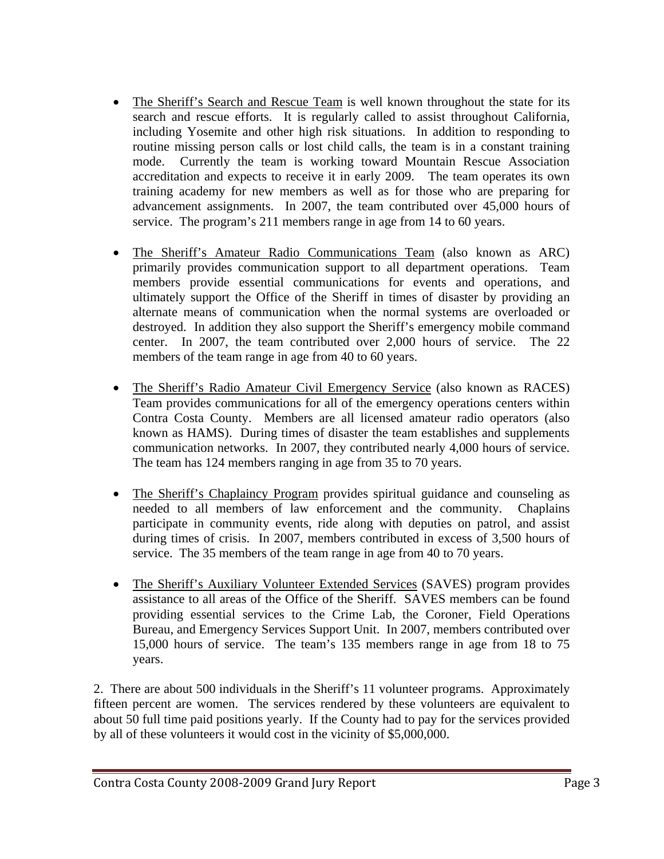- The Sheriff's Search and Rescue Team is well known throughout the state for its search and rescue efforts. It is regularly called to assist throughout California, including Yosemite and other high risk situations. In addition to responding to routine missing person calls or lost child calls, the team is in a constant training mode. Currently the team is working toward Mountain Rescue Association accreditation and expects to receive it in early 2009. The team operates its own training academy for new members as well as for those who are preparing for advancement assignments. In 2007, the team contributed over 45,000 hours of service. The program's 211 members range in age from 14 to 60 years.
- The Sheriff's Amateur Radio Communications Team (also known as ARC) primarily provides communication support to all department operations. Team members provide essential communications for events and operations, and ultimately support the Office of the Sheriff in times of disaster by providing an alternate means of communication when the normal systems are overloaded or destroyed. In addition they also support the Sheriff's emergency mobile command center. In 2007, the team contributed over 2,000 hours of service. The 22 members of the team range in age from 40 to 60 years.
- The Sheriff's Radio Amateur Civil Emergency Service (also known as RACES) Team provides communications for all of the emergency operations centers within Contra Costa County. Members are all licensed amateur radio operators (also known as HAMS). During times of disaster the team establishes and supplements communication networks. In 2007, they contributed nearly 4,000 hours of service. The team has 124 members ranging in age from 35 to 70 years.
- The Sheriff's Chaplaincy Program provides spiritual guidance and counseling as needed to all members of law enforcement and the community. Chaplains participate in community events, ride along with deputies on patrol, and assist during times of crisis. In 2007, members contributed in excess of 3,500 hours of service. The 35 members of the team range in age from 40 to 70 years.
- The Sheriff's Auxiliary Volunteer Extended Services (SAVES) program provides assistance to all areas of the Office of the Sheriff. SAVES members can be found providing essential services to the Crime Lab, the Coroner, Field Operations Bureau, and Emergency Services Support Unit. In 2007, members contributed over 15,000 hours of service. The team's 135 members range in age from 18 to 75 years.

2. There are about 500 individuals in the Sheriff's 11 volunteer programs. Approximately fifteen percent are women. The services rendered by these volunteers are equivalent to about 50 full time paid positions yearly. If the County had to pay for the services provided by all of these volunteers it would cost in the vicinity of \$5,000,000.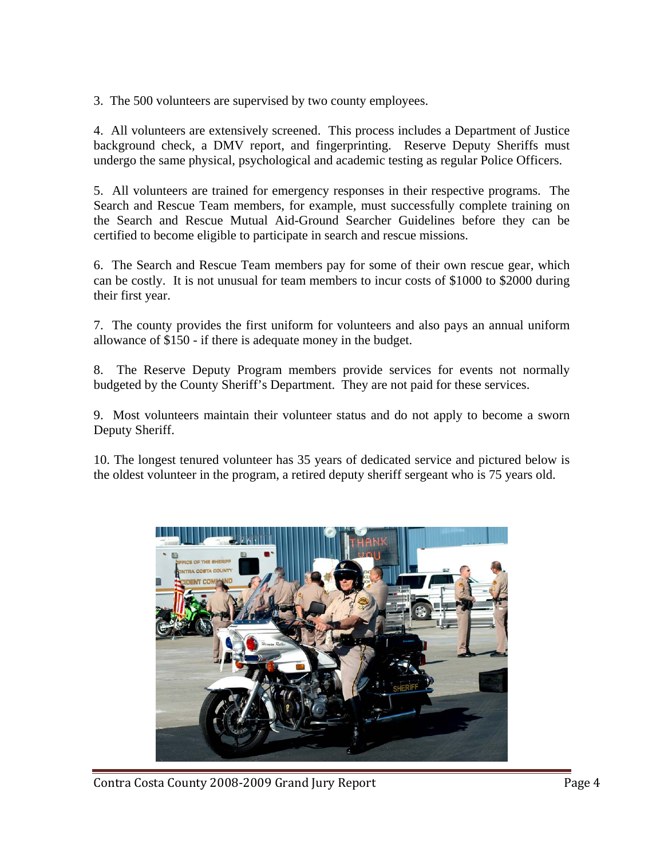3. The 500 volunteers are supervised by two county employees.

4. All volunteers are extensively screened. This process includes a Department of Justice background check, a DMV report, and fingerprinting. Reserve Deputy Sheriffs must undergo the same physical, psychological and academic testing as regular Police Officers.

5. All volunteers are trained for emergency responses in their respective programs. The Search and Rescue Team members, for example, must successfully complete training on the Search and Rescue Mutual Aid-Ground Searcher Guidelines before they can be certified to become eligible to participate in search and rescue missions.

6. The Search and Rescue Team members pay for some of their own rescue gear, which can be costly. It is not unusual for team members to incur costs of \$1000 to \$2000 during their first year.

7. The county provides the first uniform for volunteers and also pays an annual uniform allowance of \$150 - if there is adequate money in the budget.

8. The Reserve Deputy Program members provide services for events not normally budgeted by the County Sheriff's Department. They are not paid for these services.

9. Most volunteers maintain their volunteer status and do not apply to become a sworn Deputy Sheriff.

10. The longest tenured volunteer has 35 years of dedicated service and pictured below is the oldest volunteer in the program, a retired deputy sheriff sergeant who is 75 years old.



Contra Costa County 2008-2009 Grand Jury Report **Page 4**